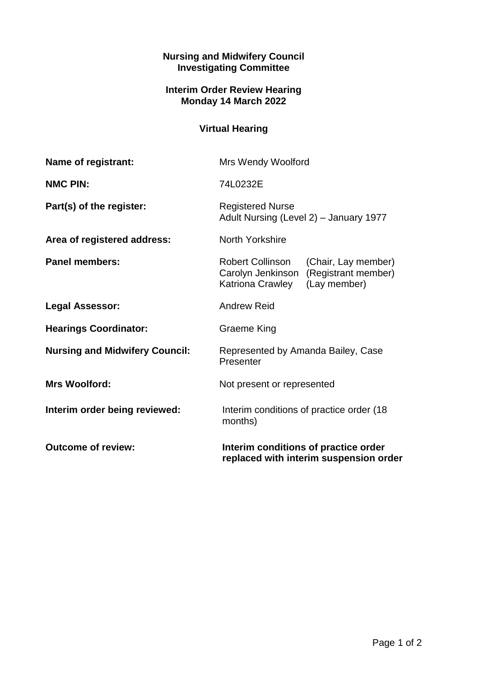## **Nursing and Midwifery Council Investigating Committee**

## **Interim Order Review Hearing Monday 14 March 2022**

## **Virtual Hearing**

| Name of registrant:                   | <b>Mrs Wendy Woolford</b>                                                                                                   |
|---------------------------------------|-----------------------------------------------------------------------------------------------------------------------------|
| <b>NMC PIN:</b>                       | 74L0232E                                                                                                                    |
| Part(s) of the register:              | <b>Registered Nurse</b><br>Adult Nursing (Level 2) - January 1977                                                           |
| Area of registered address:           | North Yorkshire                                                                                                             |
| <b>Panel members:</b>                 | <b>Robert Collinson</b><br>(Chair, Lay member)<br>Carolyn Jenkinson (Registrant member)<br>Katriona Crawley<br>(Lay member) |
| <b>Legal Assessor:</b>                | <b>Andrew Reid</b>                                                                                                          |
| <b>Hearings Coordinator:</b>          | Graeme King                                                                                                                 |
| <b>Nursing and Midwifery Council:</b> | Represented by Amanda Bailey, Case<br>Presenter                                                                             |
| <b>Mrs Woolford:</b>                  | Not present or represented                                                                                                  |
| Interim order being reviewed:         | Interim conditions of practice order (18)<br>months)                                                                        |
| <b>Outcome of review:</b>             | Interim conditions of practice order<br>replaced with interim suspension order                                              |